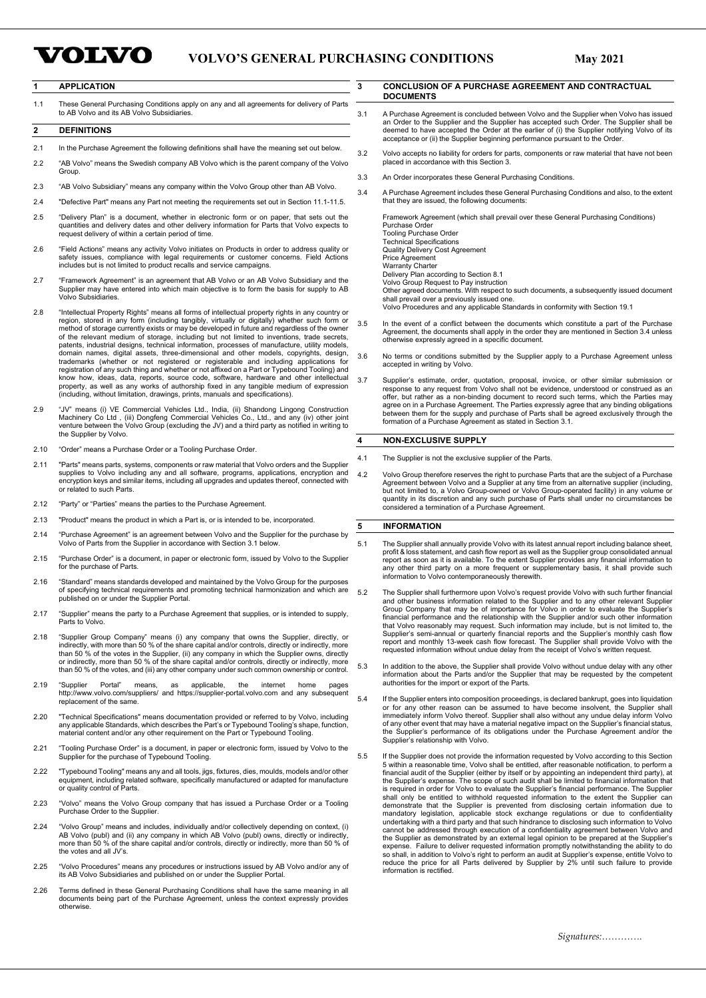# **VOLVO**

# **VOLVO'S GENERAL PURCHASING CONDITIONS May 2021**

# **1 APPLICATION**

1.1 These General Purchasing Conditions apply on any and all agreements for delivery of Parts to AB Volvo and its AB Volvo Subsidiaries.

### **2 DEFINITIONS**

- 2.1 In the Purchase Agreement the following definitions shall have the meaning set out below.
- 2.2 "AB Volvo" means the Swedish company AB Volvo which is the parent company of the Volvo **Group**
- 2.3 "AB Volvo Subsidiary" means any company within the Volvo Group other than AB Volvo.
- 2.4 "Defective Part" means any Part not meeting the requirements set out in Section 11.1-11.5.
- 2.5 "Delivery Plan" is a document, whether in electronic form or on paper, that sets out the quantities and delivery dates and other delivery information for Parts that Volvo expects to request delivery of within a certain period of time.
- 2.6 "Field Actions" means any activity Volvo initiates on Products in order to address quality or safety issues, compliance with legal requirements or customer concerns. Field Actions includes but is not limited to product recalls and service campaigns.
- 2.7 "Framework Agreement" is an agreement that AB Volvo or an AB Volvo Subsidiary and the Supplier may have entered into which main objective is to form the basis for supply to AB Volvo Subsidiaries.
- 2.8 "Intellectual Property Rights" means all forms of intellectual property rights in any country or region, stored in any form (including tangibly, virtually or digitally) whether such form or<br>method of storage currently exists or may be developed in future and regardless of the owner<br>of the relevant medium of storage, i trademarks (whether or not registered or registerable and including applications for registration of any such thing and whether or not affixed on a Part or Typebound Tooling) and know how, ideas, data, reports, source code, software, hardware and other intellectual property, as well as any works of authorship fixed in any tangible medium of expression (including, without limitation, drawings, prints, manuals and specifications).
- 2.9 "JV" means (i) VE Commercial Vehicles Ltd., India, (ii) Shandong Lingong Construction Machinery Co Ltd , (iii) Dongfeng Commercial Vehicles Co., Ltd., and any (iv) other joint venture between the Volvo Group (excluding the JV) and a third party as notified in writing to the Supplier by Volvo.
- 2.10 "Order" means a Purchase Order or a Tooling Purchase Order.
- 2.11 "Parts" means parts, systems, components or raw material that Volvo orders and the Supplier supplies to Volvo including any and all software, programs, applications, encryption and encryption keys and similar items, including all upgrades and updates thereof, connected with or related to such Parts.
- 2.12 "Party" or "Parties" means the parties to the Purchase Agreement.
- 2.13 "Product" means the product in which a Part is, or is intended to be, incorporated.
- 2.14 "Purchase Agreement" is an agreement between Volvo and the Supplier for the purchase by Volvo of Parts from the Supplier in accordance with Section 3.1 below.
- 2.15 "Purchase Order" is a document, in paper or electronic form, issued by Volvo to the Supplier for the purchase of Parts.
- 2.16 "Standard" means standards developed and maintained by the Volvo Group for the purposes of specifying technical requirements and promoting technical harmonization and which are published on or under the Supplier Portal.
- 2.17 "Supplier" means the party to a Purchase Agreement that supplies, or is intended to supply, Parts to Volvo.
- 2.18 "Supplier Group Company" means (i) any company that owns the Supplier, directly, or indirectly, with more than 50 % of the share capital and/or controls, directly or indirectly, more than 50 % of the votes in the Supplier, (ii) any company in which the Supplier owns, directly or indirectly, more than 50 % of the share capital and/or controls, directly or indirectly, more than 50 % of the votes, and (iii) any other company under such common ownership or control.
- 2.19 "Supplier Portal" means, as applicable, the internet home pages http://www.volvo.com/suppliers/ and https://supplier-portal.volvo.com and any subsequent replacement of the same.
- 2.20 "Technical Specifications" means documentation provided or referred to by Volvo, including any applicable Standards, which describes the Part's or Typebound Tooling's shape, function, material content and/or any other requirement on the Part or Typebound Tooling.
- 2.21 "Tooling Purchase Order" is a document, in paper or electronic form, issued by Volvo to the Supplier for the purchase of Typebound Tooling.
- 2.22 "Typebound Tooling" means any and all tools, jigs, fixtures, dies, moulds, models and/or other equipment, including related software, specifically manufactured or adapted for manufacture or quality control of Parts.
- 2.23 "Volvo" means the Volvo Group company that has issued a Purchase Order or a Tooling Purchase Order to the Supplier.
- 2.24 "Volvo Group" means and includes, individually and/or collectively depending on context, (i) AB Volvo (publ) and (ii) any company in which AB Volvo (publ) owns, directly or indirectly, more than 50 % of the share capital and/or controls, directly or indirectly, more than 50 % of the votes and all JV's.
- 2.25 "Volvo Procedures" means any procedures or instructions issued by AB Volvo and/or any of its AB Volvo Subsidiaries and published on or under the Supplier Portal.
- 2.26 Terms defined in these General Purchasing Conditions shall have the same meaning in all documents being part of the Purchase Agreement, unless the context expressly provides otherwise.

### **3 CONCLUSION OF A PURCHASE AGREEMENT AND CONTRACTUAL DOCUMENTS**

- 3.1 A Purchase Agreement is concluded between Volvo and the Supplier when Volvo has issued an Order to the Supplier and the Supplier has accepted such Order. The Supplier shall be deemed to have accepted the Order at the earlier of (i) the Supplier notifying Volvo of its acceptance or (ii) the Supplier beginning performance pursuant to the Order
- 3.2 Volvo accepts no liability for orders for parts, components or raw material that have not been placed in accordance with this Section 3.
- 3.3 An Order incorporates these General Purchasing Conditions.
- 3.4 A Purchase Agreement includes these General Purchasing Conditions and also, to the extent that they are issued, the following documents:

Framework Agreement (which shall prevail over these General Purchasing Conditions) Purchase Order

Tooling Purchase Order Technical Specifications Quality Delivery Cost Agreement Price Agreement

Warranty Charter

Delivery Plan according to Section 8.1 Volvo Group Request to Pay instruction

Other agreed documents. With respect to such documents, a subsequently issued document<br>shall prevail over a previously issued one.<br>Volvo Procedures and any applicable Standards in conformity with Section 19.1

- 3.5 In the event of a conflict between the documents which constitute a part of the Purchase Agreement, the documents shall apply in the order they are mentioned in Section 3.4 unless otherwise expressly agreed in a specific document.
- 3.6 No terms or conditions submitted by the Supplier apply to a Purchase Agreement unless accepted in writing by Volvo.
- 3.7 Supplier's estimate, order, quotation, proposal, invoice, or other similar submission or response to any request from Volvo shall not be evidence, understood or construed as an offer, but rather as a non-binding document to record such terms, which the Parties may<br>agree on in a Purchase Agreement. The Parties expressly agree that any binding obligations<br>between them for the supply and purchase of formation of a Purchase Agreement as stated in Section 3.1.

### **4 NON-EXCLUSIVE SUPPLY**

- 4.1 The Supplier is not the exclusive supplier of the Parts.
- 4.2 Volvo Group therefore reserves the right to purchase Parts that are the subject of a Purchase Agreement between Volvo and a Supplier at any time from an alternative supplier (including, but not limited to, a Volvo Group-owned or Volvo Group-operated facility) in any volume or quantity in its discretion and any such purchase of Parts shall under no circumstances be considered a termination of a Purchase Agreement.

### **5 INFORMATION**

- 5.1 The Supplier shall annually provide Volvo with its latest annual report including balance sheet, profit & loss statement, and cash flow report as soon as it is available. To the extent Supplier group consolidated annua information to Volvo contemporaneously therewith.
- 5.2 The Supplier shall furthermore upon Volvo's request provide Volvo with such further financial and other business information related to the Supplier and to any other relevant Supplier Group Company that may be of importance for Volvo in order to evaluate the Supplier's financial performance and the relationship with the Supplier and/or such other information that Volvo reasonably may request. Such information may include, but is not limited to, the Supplier's semi-annual or quarterly financial reports and the Supplier's monthly cash flow<br>report and monthly 13-week cash flow forecast. The Supplier shall provide Volvo with the<br>requested information without undue delay
- 5.3 In addition to the above, the Supplier shall provide Volvo without undue delay with any other information about the Parts and/or the Supplier that may be requested by the competent authorities for the import or export of the Parts.
- 5.4 If the Supplier enters into composition proceedings, is declared bankrupt, goes into liquidation or for any other reason can be assumed to have become insolvent, the Supplier shall immediately inform Volvo thereof. Supplier shall also without any undue delay inform Volvo of any other event that may have a material negative impact on the Supplier's financial status, the Supplier's performance of its obligations under the Purchase Agreement and/or the Supplier's relationship with Volvo.
- 5.5 If the Supplier does not provide the information requested by Volvo according to this Section 5 within a reasonable time, Volvo shall be entitled, after reasonable notification, to perform a financial audit of the Supplier (either by itself or by appointing an independent third party), at<br>the Supplier's expense. The scope of such audit shall be limited to financial information that<br>is required in order for Vol shall only be entitled to withhold requested information to the extent the Supplier can<br>demonstrate that the Supplier is prevented from disclosing certain information due to<br>mandatory legislation, applicable stock exchange cannot be addressed through execution of a confidentiality agreement between Volvo and the Supplier as demonstrated by an external legal opinion to be prepared at the Supplier's expense. Failure to deliver requested information promptly notwithstanding the ability to do so shall, in addition to Volvo's right to perform an audit at Supplier's expense, entitle Volvo to reduce the price for all Parts delivered by Supplier by 2% until such failure to provide information is rectified.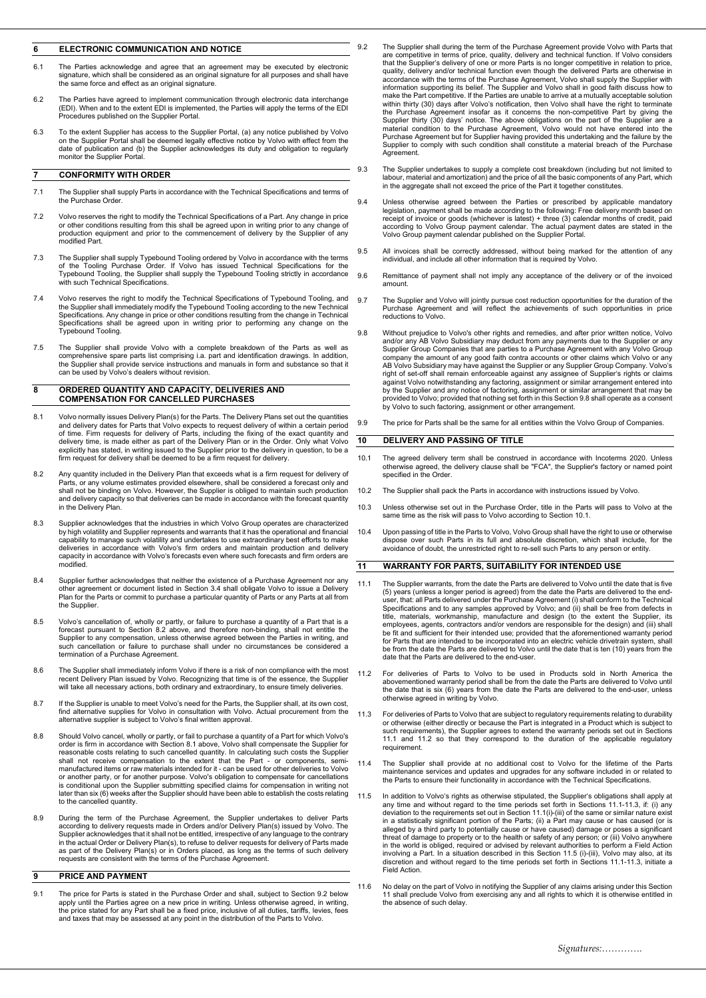### **6 ELECTRONIC COMMUNICATION AND NOTICE**

- 6.1 The Parties acknowledge and agree that an agreement may be executed by electronic signature, which shall be considered as an original signature for all purposes and shall have the same force and effect as an original signature.
- 6.2 The Parties have agreed to implement communication through electronic data interchange (EDI). When and to the extent EDI is implemented, the Parties will apply the terms of the EDI Procedures published on the Supplier Portal.
- 6.3 To the extent Supplier has access to the Supplier Portal, (a) any notice published by Volvo on the Supplier Portal shall be deemed legally effective notice by Volvo with effect from the date of publication and (b) the Supplier acknowledges its duty and obligation to regularly monitor the Supplier Portal.

# **7 CONFORMITY WITH ORDER**

- 7.1 The Supplier shall supply Parts in accordance with the Technical Specifications and terms of the Purchase Order.
- 7.2 Volvo reserves the right to modify the Technical Specifications of a Part. Any change in price or other conditions resulting from this shall be agreed upon in writing prior to any change of production equipment and prior to the commencement of delivery by the Supplier of any modified Part.
- The Supplier shall supply Typebound Tooling ordered by Volvo in accordance with the terms of the Tooling Purchase Order. If Volvo has issued Technical Specifications for the<br>Typebound Tooling, the Supplier shall supply the with such Technical Specifications.
- 7.4 Volvo reserves the right to modify the Technical Specifications of Typebound Tooling, and the Supplier shall immediately modify the Typebound Tooling according to the new Technical Specifications. Any change in price or other conditions resulting from the change in Technical Specifications shall be agreed upon in writing prior to performing any change on the Typebound Tooling.
- 7.5 The Supplier shall provide Volvo with a complete breakdown of the Parts as well as comprehensive spare parts list comprising i.a. part and identification drawings. In addition, the Supplier shall provide service instructions and manuals in form and substance so that it can be used by Volvo's dealers without revision.

### **8 ORDERED QUANTITY AND CAPACITY, DELIVERIES AND COMPENSATION FOR CANCELLED PURCHASES**

- 8.1 Volvo normally issues Delivery Plan(s) for the Parts. The Delivery Plans set out the quantities and delivery dates for Parts that Volvo expects to request delivery of within a certain period of time. Firm requests for delivery of Parts, including the fixing of the exact quantity and<br>delivery time, is made either as part of the Delivery Plan or in the Order. Only what Volvo<br>explicitly has stated, in writing iss firm request for delivery shall be deemed to be a firm request for delivery.
- 8.2 Any quantity included in the Delivery Plan that exceeds what is a firm request for delivery of Parts, or any volume estimates provided elsewhere, shall be considered a forecast only and shall not be binding on Volvo. However, the Supplier is obliged to maintain such production and delivery capacity so that deliveries can be made in accordance with the forecast quantity in the Delivery Plan.
- 8.3 Supplier acknowledges that the industries in which Volvo Group operates are characterized by high volatility and Supplier represents and warrants that it has the operational and financial capability to manage such volatility and undertakes to use extraordinary best efforts to make deliveries in accordance with Volvo's firm orders and maintain production and delivery capacity in accordance with Volvo's forecasts even where such forecasts and firm orders are modified.
- 8.4 Supplier further acknowledges that neither the existence of a Purchase Agreement nor any other agreement or document listed in Section 3.4 shall obligate Volvo to issue a Delivery Plan for the Parts or commit to purchase a particular quantity of Parts or any Parts at all from the Supplier.
- 8.5 Volvo's cancellation of, wholly or partly, or failure to purchase a quantity of a Part that is a forecast pursuant to Section 8.2 above, and therefore non-binding, shall not entitle the<br>Supplier to any compensation, unless otherwise agreed between the Parties in writing, and<br>such cancellation or failure to purchase sh termination of a Purchase Agreement.
- 8.6 The Supplier shall immediately inform Volvo if there is a risk of non compliance with the most recent Delivery Plan issued by Volvo. Recognizing that time is of the essence, the Supplier will take all necessary actions, both ordinary and extraordinary, to ensure timely deliveries.
- 8.7 If the Supplier is unable to meet Volvo's need for the Parts, the Supplier shall, at its own cost, find alternative supplies for Volvo in consultation with Volvo. Actual procurement from the alternative supplier is subject to Volvo's final written approval.
- 8.8 Should Volvo cancel, wholly or partly, or fail to purchase a quantity of a Part for which Volvo's order is firm in accordance with Section 8.1 above, Volvo shall compensate the Supplier for reasonable costs relating to such cancelled quantity. In calculating such costs the Supplier shall not receive compensation to the extent that the Part - or components, semi-manufactured items or raw materials intended for it - can be used for other deliveries to Volvo or another party, or for another purpose. Volvo's obligation to compensate for cancellations is conditional upon the Supplier submitting specified claims for compensation in writing not later than six (6) weeks after the Supplier should have been able to establish the costs relating to the cancelled quantity.
- 8.9 During the term of the Purchase Agreement, the Supplier undertakes to deliver Parts according to delivery requests made in Orders and/or Delivery Plan(s) issued by Volvo. The<br>Supplier acknowledges that it shall not be entitled, irrespective of any language to the contrary<br>in the actual Order or Delivery P as part of the Delivery Plan(s) or in Orders placed, as long as the terms of such delivery requests are consistent with the terms of the Purchase Agreement.

# **9 PRICE AND PAYMENT**

9.1 The price for Parts is stated in the Purchase Order and shall, subject to Section 9.2 below apply until the Parties agree on a new price in writing. Unless otherwise agreed, in writing, the price stated for any Part sh

- 9.2 The Supplier shall during the term of the Purchase Agreement provide Volvo with Parts that are competitive in terms of price, quality, delivery and technical function. If Volvo considers that the Supplier's delivery of one or more Parts is no longer competitive in relation to price, quality, delivery and/or technical function even though the delivered Parts are otherwise in<br>accordance with the terms of the Purchase Agreement, Volvo shall supply the Supplier with<br>information supporting its belief. The make the Part competitive. If the Parties are unable to arrive at a mutually acceptable solution within thirty (30) days after Volvo's notification, then Volvo shall have the right to terminate the Purchase Agreement insofar as it concerns the non-competitive Part by giving the Supplier thirty (30) days' notice. The above obligations on the part of the Supplier are a material condition to the Purchase Agreement, Volvo would not have entered into the Purchase Agreement but for Supplier having provided this undertaking and the failure by the Supplier to comply with such condition shall constitute a material breach of the Purchase Agreement.
- 9.3 The Supplier undertakes to supply a complete cost breakdown (including but not limited to labour, material and amortization) and the price of all the basic components of any Part, which in the aggregate shall not exceed the price of the Part it together constitutes.
- 9.4 Unless otherwise agreed between the Parties or prescribed by applicable mandatory legislation, payment shall be made according to the following: Free delivery month based on receipt of invoice or goods (whichever is la Volvo Group payment calendar published on the Supplier Portal.
- 9.5 All invoices shall be correctly addressed, without being marked for the attention of any individual, and include all other information that is required by Volvo.
- 9.6 Remittance of payment shall not imply any acceptance of the delivery or of the invoiced amount.
- 9.7 The Supplier and Volvo will jointly pursue cost reduction opportunities for the duration of the Purchase Agreement and will reflect the achievements of such opportunities in price reductions to Volvo.
- 9.8 Without prejudice to Volvo's other rights and remedies, and after prior written notice, Volvo and/or any AB Volvo Subsidiary may deduct from any payments due to the Supplier or any Supplier Group Companies that are parties to a Purchase Agreement with any Volvo Group company the amount of any good faith contra accounts or other claims which Volvo or any AB Volvo Subsidiary may have against the Supplier or any Supplier Group Company. Volvo's right of set-off shall remain enforceable against any assignee of Supplier's rights or claims against Volvo notwithstanding any factoring, assignment or similar arrangement entered into by the Supplier and any notice of factoring, assignment or similar arrangement that may be provided to Volvo; provided that nothing set forth in this Section 9.8 shall operate as a consent by Volvo to such factoring, assignment or other arrangement.
- 9.9 The price for Parts shall be the same for all entities within the Volvo Group of Companies.

# **10 DELIVERY AND PASSING OF TITLE**

- 10.1 The agreed delivery term shall be construed in accordance with Incoterms 2020. Unless otherwise agreed, the delivery clause shall be "FCA", the Supplier's factory or named point specified in the Order.
- 10.2 The Supplier shall pack the Parts in accordance with instructions issued by Volvo.
- 10.3 Unless otherwise set out in the Purchase Order, title in the Parts will pass to Volvo at the same time as the risk will pass to Volvo according to Section 10.1.
- 10.4 Upon passing of title in the Parts to Volvo, Volvo Group shall have the right to use or otherwise dispose over such Parts in its full and absolute discretion, which shall include, for the avoidance of doubt, the unrestricted right to re-sell such Parts to any person or entity

# **11 WARRANTY FOR PARTS, SUITABILITY FOR INTENDED USE**

- 11.1 The Supplier warrants, from the date the Parts are delivered to Volvo until the date that is five (5) years (unless a longer period is agreed) from the date the Parts are delivered to the end-user, that: all Parts delivered under the Purchase Agreement (i) shall conform to the Technical Specifications and to any samples approved by Volvo; and (ii) shall be free from defects in title, materials, workmanship, manufacture and design (to the extent the Supplier, its employees, agents, contractors and/or vendors are responsible for the design) and (iii) shall be fit and sufficient for their intended use; provided that the aforementioned warranty period for Parts that are intended to be incorporated into an electric vehicle drivetrain system, shall be from the date the Parts are delivered to Volvo until the date that is ten (10) years from the date that the Parts are delivered to the end-user.
- 11.2 For deliveries of Parts to Volvo to be used in Products sold in North America the abovementioned warranty period shall be from the date the Parts are delivered to Volvo until the date that is six  $(6)$  years from the date the Parts are delivered to the end-user, unless otherwise agreed in writing by Volvo.
- 11.3 For deliveries of Parts to Volvo that are subject to regulatory requirements relating to durability or otherwise (either directly or because the Part is integrated in a Product which is subject to such requirements), the Supplier agrees to extend the warranty periods set out in Sections 11.1 and 11.2 so that they correspond to the duration of the applicable regulatory requirement.
- 11.4 The Supplier shall provide at no additional cost to Volvo for the lifetime of the Parts maintenance services and updates and upgrades for any software included in or related to maintenance services and updates and upgrades for any software included in or related to the Parts to ensure their functionality in accordance with the Technical Specifications.
- 11.5 In addition to Volvo's rights as otherwise stipulated, the Supplier's obligations shall apply at any time and without regard to the time periods set forth in Sections 11.1-11.3, if: (i) any deviation to the requirements set out in Section 11.1(i)-(iii) of the same or similar nature exist in a statistically significant portion of the Parts; (ii) a Part may cause or has caused (or is alleged by a third party to potentially cause or have caused) damage or poses a significant threat of damage to property or to the health or safety of any person; or (iii) Volvo anywhere<br>in the world is obliged, required or advised by relevant authorities to perform a Field Action<br>involving a Part. In a situation discretion and without regard to the time periods set forth in Sections 11.1-11.3, initiate a Field Action.
- 11.6 No delay on the part of Volvo in notifying the Supplier of any claims arising under this Section 11 shall preclude Volvo from exercising any and all rights to which it is otherwise entitled in the absence of such delay.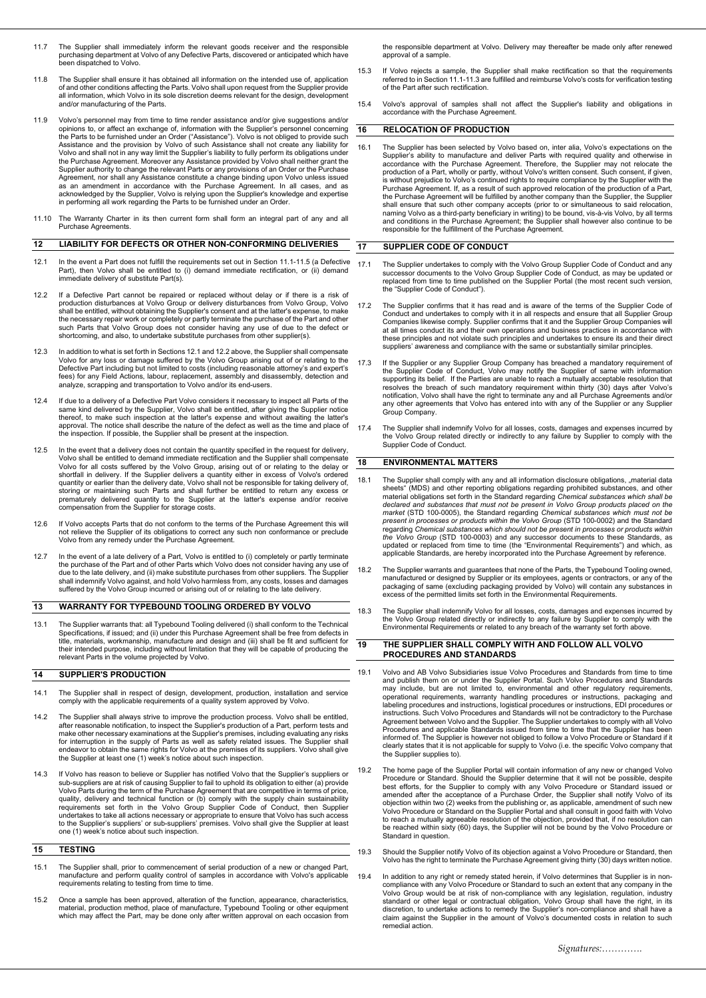- 11.7 The Supplier shall immediately inform the relevant goods receiver and the responsible purchasing department at Volvo of any Defective Parts, discovered or anticipated which have been dispatched to Volvo.
- 11.8 The Supplier shall ensure it has obtained all information on the intended use of, application of and other conditions affecting the Parts. Volvo shall upon request from the Supplier provide all information, which Volvo in its sole discretion deems relevant for the design, development and/or manufacturing of the Parts.
- 11.9 Volvo's personnel may from time to time render assistance and/or give suggestions and/or opinions to, or affect an exchange of, information with the Supplier's personnel concerning the Parts to be furnished under an Order ("Assistance"). Volvo is not obliged to provide such Assistance and the provision by Volvo of such Assistance shall not create any liability for<br>Volvo and shall not in any way limit the Supplier's liability to fully perform its obligations under<br>the Purchase Agreement. Moreo Agreement, nor shall any Assistance constitute a change binding upon Volvo unless issued<br>as an amendment in accordance with the Purchase Agreement. In all cases, and as<br>acknowledged by the Supplier, Volvo is rely in performing all work regarding the Parts to be furnished under an Order.
- 11.10 The Warranty Charter in its then current form shall form an integral part of any and all Purchase Agreements.

#### **12 LIABILITY FOR DEFECTS OR OTHER NON-CONFORMING DELIVERIES**

- 12.1 In the event a Part does not fulfill the requirements set out in Section 11.1-11.5 (a Defective Part), then Volvo shall be entitled to (i) demand immediate rectification, or (ii) demand immediate delivery of substitute Part(s).
- 12.2 If a Defective Part cannot be repaired or replaced without delay or if there is a risk of production disturbances at Volvo Group or delivery disturbances from Volvo Group, Volvo shall be entitled, without obtaining the Supplier's consent and at the latter's expense, to make the necessary repair work or completely or partly terminate the purchase of the Part and other such Parts that Volvo Group does not consider having any use of due to the defect or shortcoming, and also, to undertake substitute purchases from other supplier(s).
- 12.3 In addition to what is set forth in Sections 12.1 and 12.2 above, the Supplier shall compensate Volvo for any loss or damage suffered by the Volvo Group arising out of or relating to the Defective Part including but not limited to costs (including reasonable attorney's and expert's fees) for any Field Actions, labour, replacement, assembly and disassembly, detection and analyze, scrapping and transportation to Volvo and/or its end-users.
- 12.4 If due to a delivery of a Defective Part Volvo considers it necessary to inspect all Parts of the same kind delivered by the Supplier, Volvo shall be entitled, after giving the Supplier notice thereof, to make such inspection at the latter's expense and without awaiting the latter's approval. The notice shall describe the nature of the defect as well as the time and place of the inspection. If possible, the Supplier shall be present at the inspection.
- 12.5 In the event that a delivery does not contain the quantity specified in the request for delivery, Volvo shall be entitled to demand immediate rectification and the Supplier shall compensate Volvo for all costs suffered by the Volvo Group, arising out of or relating to the delay or shortfall in delivery. If the Supplier delivers a quantity either in excess of Volvo's ordered quantity or earlier than the delivery date, Volvo shall not be responsible for taking delivery of, storing or maintaining such Parts and shall further be entitled to return any excess or prematurely delivered quantity to the Supplier at the latter's expense and/or receive compensation from the Supplier for storage costs.
- 12.6 If Volvo accepts Parts that do not conform to the terms of the Purchase Agreement this will not relieve the Supplier of its obligations to correct any such non conformance or preclude Volvo from any remedy under the Purchase Agreement.
- 12.7 In the event of a late delivery of a Part, Volvo is entitled to (i) completely or partly terminate<br>the purchase of the Part and of other Parts which Volvo does not consider having any use of the purchase of the Part and of other Parts which Volvo does not consider having any use of due to the late delivery, and (ii) make substitute purchases from other suppliers. The Supplier shall indemnify Volvo against, and hold Volvo harmless from, any costs, losses and damages suffered by the Volvo Group incurred or arising out of or relating to the late delivery.

### **13 WARRANTY FOR TYPEBOUND TOOLING ORDERED BY VOLVO**

13.1 The Supplier warrants that: all Typebound Tooling delivered (i) shall conform to the Technical Specifications, if issued; and (ii) under this Purchase Agreement shall be free from defects in title, materials, workmanship, manufacture and design and (iii) shall be fit and sufficient for their intended purpose, including without limitation that they will be capable of producing the relevant Parts in the volume projected by Volvo.

### **14 SUPPLIER'S PRODUCTION**

- 14.1 The Supplier shall in respect of design, development, production, installation and service comply with the applicable requirements of a quality system approved by Volvo.
- 14.2 The Supplier shall always strive to improve the production process. Volvo shall be entitled, after reasonable notification, to inspect the Supplier's production of a Part, perform tests and make other necessary examinations at the Supplier's premises, including evaluating any risks for interruption in the supply of Parts as well as safety related issues. The Supplier shall endeavor to obtain the same rights for Volvo at the premises of its suppliers. Volvo shall give the Supplier at least one (1) week's notice about such inspection.
- 14.3 If Volvo has reason to believe or Supplier has notified Volvo that the Supplier's suppliers or sub-suppliers are at risk of causing Supplier to fail to uphold its obligation to either (a) provide<br>Volvo Parts during the term of the Purchase Agreement that are competitive in terms of price,<br>quality, delivery and techn to the Supplier's suppliers' or sub-suppliers' premises. Volvo shall give the Supplier at least one (1) week's notice about such inspection.

# **15 TESTING**

- 15.1 The Supplier shall, prior to commencement of serial production of a new or changed Part, manufacture and perform quality control of samples in accordance with Volvo's applicable requirements relating to testing from time to time
- 15.2 Once a sample has been approved, alteration of the function, appearance, characteristics, material, production method, place of manufacture, Typebound Tooling or other equipment which may affect the Part, may be done only after written approval on each occasion from

the responsible department at Volvo. Delivery may thereafter be made only after renewed approval of a sample.

- 15.3 If Volvo rejects a sample, the Supplier shall make rectification so that the requirements referred to in Section 11.1-11.3 are fulfilled and reimburse Volvo's costs for verification testing of the Part after such rectification.
- 15.4 Volvo's approval of samples shall not affect the Supplier's liability and obligations in accordance with the Purchase Agreement.

### **16 RELOCATION OF PRODUCTION**

16.1 The Supplier has been selected by Volvo based on, inter alia, Volvo's expectations on the<br>Supplier's ability to manufacture and deliver Parts with required quality and otherwise in<br>accordance with the Purchase Agreeme production of a Part, wholly or partly, without Volvo's written consent. Such consent, if given, is without prejudice to Volvo's continued rights to require compliance by the Supplier with the Purchase Agreement. If, as a result of such approved relocation of the production of a Part, the Purchase Agreement will be fulfilled by another company than the Supplier, the Supplier shall ensure that such other company accepts (prior to or simultaneous to said relocation, naming Volvo as a third-party beneficiary in writing) to be bound, vis-à-vis Volvo, by all terms and conditions in the Purchase Agr

### **17 SUPPLIER CODE OF CONDUCT**

- 17.1 The Supplier undertakes to comply with the Volvo Group Supplier Code of Conduct and any<br>successor documents to the Volvo Group Supplier Code of Conduct, as may be updated or<br>replaced from time to time published on the the "Supplier Code of Conduct").
- 17.2 The Supplier confirms that it has read and is aware of the terms of the Supplier Code of Conduct and undertakes to comply with it in all respects and ensure that all Supplier Group<br>Companies likewise comply. Supplier confirms that it and the Supplier Group Companies will<br>at all times conduct its and their own these principles and not violate such principles and undertakes to ensure its and their direct suppliers' awareness and compliance with the same or substantially similar principles.
- 17.3 If the Supplier or any Supplier Group Company has breached a mandatory requirement of<br>the Supplier Code of Conduct, Volvo may notify the Supplier of same with information<br>supporting its belief. If the Parties are unab resolves the breach of such mandatory requirement within thirty (30) days after Volvo's notification, Volvo shall have the right to terminate any and all Purchase Agreements and/or any other agreements that Volvo has entered into with any of the Supplier or any Supplier Group Company.
- 17.4 The Supplier shall indemnify Volvo for all losses, costs, damages and expenses incurred by the Volvo Group related directly or indirectly to any failure by Supplier to comply with the Supplier Code of Conduct.

#### **18 ENVIRONMENTAL MATTERS**

- 18.1 The Supplier shall comply with any and all information disclosure obligations, "material data sheets" (MDS) and other reporting obligations regarding prohibited substances, and other material obligations set forth in *present in processes or products within the Volvo Group* (STD 100-0002) and the Standard regarding *Chemical substances which should not be present in processes or products within the Volvo Group* (STD 100-0003) and any successor documents to these Standards, as updated or replaced from time to time (the "Environmental Requirements") and which, as applicable Standards, are hereby incorporated into the Purchase Agreement by reference.
- 18.2 The Supplier warrants and guarantees that none of the Parts, the Typebound Tooling owned, manufactured or designed by Supplier or its employees, agents or contractors, or any of the<br>packaging of same (excluding packaging provided by Volvo) will contain any substances in<br>excess of the permitted limits set forth
- 18.3 The Supplier shall indemnify Volvo for all losses, costs, damages and expenses incurred by the Volvo Group related directly or indirectly to any failure by Supplier to comply with the Environmental Requirements or related to any breach of the warranty set forth above.

### **19 THE SUPPLIER SHALL COMPLY WITH AND FOLLOW ALL VOLVO PROCEDURES AND STANDARDS**

- 19.1 Volvo and AB Volvo Subsidiaries issue Volvo Procedures and Standards from time to time and publish them on or under the Supplier Portal. Such Volvo Procedures and Standards may include, but are not limited to, environmental and other regulatory requirements, operational requirements, warranty handling procedures or instructions, packaging and<br>labeling procedures and instructions, logistical procedures or instructions, EDI procedures or<br>instructions. Such Volvo Procedures and S Agreement between Volvo and the Supplier. The Supplier undertakes to comply with all Volvo Procedures and applicable Standards issued from time to time that the Supplier has been informed of. The Supplier is however not obliged to follow a Volvo Procedure or Standard if it clearly states that it is not applicable for supply to Volvo (i.e. the specific Volvo company that the Supplier supplies to).
- 19.2 The home page of the Supplier Portal will contain information of any new or changed Volvo Procedure or Standard. Should the Supplier determine that it will not be possible, despite best efforts, for the Supplier to comply with any Volvo Procedure or Standard issued or amended after the acceptance of a Purchase Order, the Supplier shall notify Volvo of its objection within two (2) weeks from the publishing or, as applicable, amendment of such new Volvo Procedure or Standard on the Supplier Portal and shall consult in good faith with Volvo to reach a mutually agreeable resolution of the objection, provided that, if no resolution can be reached within sixty (60) days, the Supplier will not be bound by the Volvo Procedure or Standard in question.
- 19.3 Should the Supplier notify Volvo of its objection against a Volvo Procedure or Standard, then Volvo has the right to terminate the Purchase Agreement giving thirty (30) days written notice.
- 19.4 In addition to any right or remedy stated herein, if Volvo determines that Supplier is in noncompliance with any Volvo Procedure or Standard to such an extent that any company in the Volvo Group would be at risk of non-compliance with any legislation, regulation, industry<br>standard or other legal or contractual obligation, Volvo Group shall have the right, in its<br>discretion, to undertake actions to reme claim against the Supplier in the amount of Volvo's documented costs in relation to such remedial action.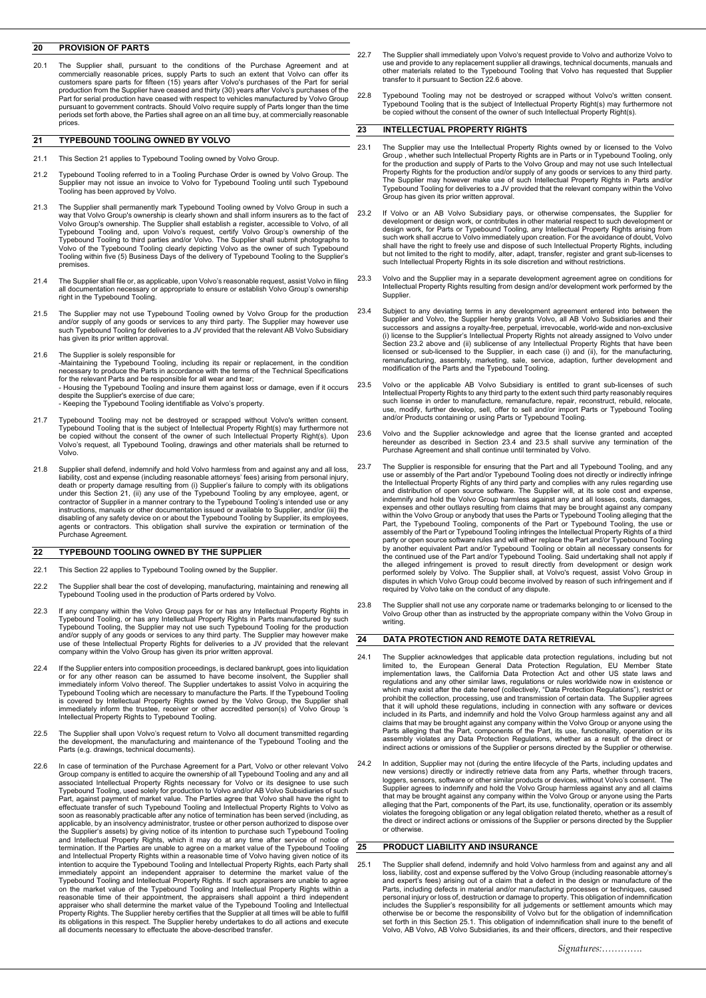# **20 PROVISION OF PARTS**

20.1 The Supplier shall, pursuant to the conditions of the Purchase Agreement and at commercially reasonable prices, supply Parts to such an extent that Volvo' can offer its customers spare parts for fifteen (15) years aft periods set forth above, the Parties shall agree on an all time buy, at commercially reasonable prices.

### **21 TYPEBOUND TOOLING OWNED BY VOLVO**

- 21.1 This Section 21 applies to Typebound Tooling owned by Volvo Group.
- 21.2 Typebound Tooling referred to in a Tooling Purchase Order is owned by Volvo Group. The Supplier may not issue an invoice to Volvo for Typebound Tooling until such Typebound Tooling has been approved by Volvo.
- 21.3 The Supplier shall permanently mark Typebound Tooling owned by Volvo Group in such a way that Volvo Group's ownership is clearly shown and shall inform insurers as to the fact of Volvo Group's ownership. The Supplier shall establish a register, accessible to Volvo, of all Typebound Tooling and, upon Volvo's request, certify Volvo Group's ownership of the Typebound Tooling to third parties and/or Volvo. The Supplier shall submit photographs to Volvo of the Typebound Tooling clearly depicting Volvo as the owner of such Typebound Tooling within five (5) Business Days of the delivery of Typebound Tooling to the Supplier's premises.
- 21.4 The Supplier shall file or, as applicable, upon Volvo's reasonable request, assist Volvo in filing all documentation necessary or appropriate to ensure or establish Volvo Group's ownership right in the Typebound Tooling.
- 21.5 The Supplier may not use Typebound Tooling owned by Volvo Group for the production<br>and/or supply of any goods or services to any third party. The Supplier may however use<br>such Typebound Tooling for deliveries to a JV has given its prior written approval.
- 

21.6 The Supplier is solely responsible for<br>-Maintaining the Typebound Tooling, including its repair or replacement, in the condition-<br>- necessary to produce the Parts in accordance with the terms of the Technical Specific for the relevant Parts and be responsible for all wear and tear;

- Housing the Typebound Tooling and insure them against loss or damage, even if it occurs despite the Supplier's exercise of due care; - Keeping the Typebound Tooling identifiable as Volvo's property.

- 21.7 Typebound Tooling may not be destroyed or scrapped without Volvo's written consent.<br>Typebound Tooling that is the subject of Intellectual Property Right(s) may furthermore not<br>be copied without the consent of the owne Volvo's request, all Typebound Tooling, drawings and other materials shall be returned to Volvo.
- 21.8 Supplier shall defend, indemnify and hold Volvo harmless from and against any and all loss, liability, cost and expense (including reasonable attorneys' fees) arising from personal injury,<br>death or property damage resulting from (i) Supplier's failure to comply with its obligations<br>under this Section 21, (ii) any disabling of any safety device on or about the Typebound Tooling by Supplier, its employees, agents or contractors. This obligation shall survive the expiration or termination of the Purchase Agreement.

### **22 TYPEBOUND TOOLING OWNED BY THE SUPPLIER**

- 22.1 This Section 22 applies to Typebound Tooling owned by the Supplier.
- 22.2 The Supplier shall bear the cost of developing, manufacturing, maintaining and renewing all Typebound Tooling used in the production of Parts ordered by Volvo.
- 22.3 If any company within the Volvo Group pays for or has any Intellectual Property Rights in Typebound Tooling, or has any Intellectual Property Rights in Parts manufactured by such Typebound Tooling, the Supplier may not use such Typebound Tooling for the production<br>and/or supply of any goods or services to any third party. The Supplier may however make<br>use of these Intellectual Property Rights for d
- 22.4 If the Supplier enters into composition proceedings, is declared bankrupt, goes into liquidation<br>or for any other reason can be assumed to have become insolvent, the Supplier shall<br>immediately inform Volvo thereof. Th is covered by Intellectual Property Rights owned by the Volvo Group, the Supplier shall immediately inform the trustee, receiver or other accredited person(s) of Volvo Group 's Intellectual Property Rights to Typebound Tooling.
- 22.5 The Supplier shall upon Volvo's request return to Volvo all document transmitted regarding the development, the manufacturing and maintenance of the Typebound Tooling and the Parts (e.g. drawings, technical documents).
- 22.6 In case of termination of the Purchase Agreement for a Part, Volvo or other relevant Volvo Group company is entitled to acquire the ownership of all Typebound Tooling and any and all associated Intellectual Property Rights necessary for Volvo or its designee to use such<br>Typebound Tooling, used solely for production to Volvo and/or AB Volvo Subsidiaries of such<br>Part, against payment of market value. The applicable, by an insolvency administrator, trustee or other person authorized to dispose over<br>the Supplier's assets) by giving notice of its intention to purchase such Typebound Tooling<br>and Intellectual Property Rights, w intention to acquire the Typebound Tooling and Intellectual Property Rights, each Party shall immediately appoint an independent appraiser to determine the market value of the<br>Typebound Tooling and Intellectual Property Rights. If such appraisers are unable to agree<br>on the market value of the Typebound Tooling and reasonable time of their appointment, the appraisers shall appoint a third independent appraiser who shall determine the market value of the Typebound Tooling and Intellectual Property Rights. The Supplier hereby certifies that the Supplier at all times will be able to fulfill its obligations in this respect. The Supplier hereby undertakes to do all actions and execute all documents necessary to effectuate the above-described transfer.
- 22.7 The Supplier shall immediately upon Volvo's request provide to Volvo and authorize Volvo to<br>use and provide to any replacement supplier all drawings, technical documents, manuals and<br>other materials related to the Typ transfer to it pursuant to Section 22.6 above.
- 22.8 Typebound Tooling may not be destroyed or scrapped without Volvo's written consent. Typebound Tooling that is the subject of Intellectual Property Right(s) may furthermore not be copied without the consent of the owner of such Intellectual Property Right(s).

### **23 INTELLECTUAL PROPERTY RIGHTS**

- 23.1 The Supplier may use the Intellectual Property Rights owned by or licensed to the Volvo<br>Group , whether such Intellectual Property Rights are in Parts or in Typebound Tooling, only<br>for the production and supply of Par Property Rights for the production and/or supply of any goods or services to any third party. The Supplier may however make use of such Intellectual Property Rights in Parts and/or Typebound Tooling for deliveries to a JV provided that the relevant company within the Volvo Group has given its prior written approval.
- 23.2 If Volvo or an AB Volvo Subsidiary pays, or otherwise compensates, the Supplier for development or design work, or contributes in other material respect to such development or<br>design work, for Parts or Typebound Tooling, any Intellectual Property Rights arising from<br>such work shall accrue to Volvo immedia shall have the right to freely use and dispose of such Intellectual Property Rights, including<br>but not limited to the right to modify, alter, adapt, transfer, register and grant sub-licenses to<br>such Intellectual Property R
- 23.3 Volvo and the Supplier may in a separate development agreement agree on conditions for Intellectual Property Rights resulting from design and/or development work performed by the **Supplier.**
- 23.4 Subject to any deviating terms in any development agreement entered into between the Supplier and Volvo, the Supplier hereby grants Volvo, all AB Volvo Subsidiaries and their successors and assigns a royalty-free, perpetual, irrevocable, world-wide and non-exclusive (i) license to the Supplier's Intellectual Property Rights not already assigned to Volvo under<br>Section 23.2 above and (ii) sublice
- 23.5 Volvo or the applicable AB Volvo Subsidiary is entitled to grant sub-licenses of such Intellectual Property Rights to any third party to the extent such third party reasonably requires such license in order to manufacture, remanufacture, repair, reconstruct, rebuild, relocate,<br>use, modify, further develop, sell, offer to sell and/or import Parts or Typebound Tooling and/or Products containing or using Parts or Typebound Tooling.
- 23.6 Volvo and the Supplier acknowledge and agree that the license granted and accepted<br>hereunder as described in Section 23.4 and 23.5 shall survive any termination of the<br>Purchase Agreement and shall continue until termi
- 23.7 The Supplier is responsible for ensuring that the Part and all Typebound Tooling, and any use or assembly of the Part and/or Typebound Tooling does not directly or indirectly infringe<br>the Intellectual Property Rights of any third party and complies with any rules regarding use<br>and distribution of open source so indemnify and hold the Volvo Group harmless against any and all losses, costs, damages, expenses and other outlays resulting from claims that may be brought against any company<br>within the Volvo Group or anybody that uses the Parts or Typebound Tooling alleging that the<br>Part, the Typebound Tooling, components party or open source software rules and will either replace the Part and/or Typebound Tooling<br>by another equivalent Part and/or Typebound Tooling or obtain all necessary consents for<br>the continued use of the Part and/or Ty disputes in which Volvo Group could become involved by reason of such infringement and if required by Volvo take on the conduct of any dispute.
- 23.8 The Supplier shall not use any corporate name or trademarks belonging to or licensed to the Volvo Group other than as instructed by the appropriate company within the Volvo Group in writing.

### **24 DATA PROTECTION AND REMOTE DATA RETRIEVAL**

- 24.1 The Supplier acknowledges that applicable data protection regulations, including but not limited to, the European General Data Protection Regulation, EU Member State laws and regulations and any other similar laws, re that it will uphold these regulations, including in connection with any software or devices<br>included in its Parts, and internmity and hold the Volvo Group harmless against any and all<br>claims that may be brought against any
- 24.2 In addition, Supplier may not (during the entire lifecycle of the Parts, including updates and<br>new versions) directly or indirectly retrive data from any Parts, whether through tracers,<br>loggers, sensors, software or o the direct or indirect actions or omissions of the Supplier or persons directed by the Supplier or otherwise.

#### **25 PRODUCT LIABILITY AND INSURANCE**

The Supplier shall defend, indemnify and hold Volvo harmless from and against any and all loss, liability, cost and expense suffered by the Volvo Group (including reasonable attorney's<br>and expert's fees) arising out of a claim that a defect in the design or manufacture of the<br>Parts, including defects in materia personal injury or loss of, destruction or damage to property. This obligation of indemnification includes the Supplier's responsibility for all judgements or settlement amounts which may otherwise be or become the responsibility of Volvo but for the obligation of indemnification set forth in this Section 25.1. This obligation of indemnification shall inure to the benefit of Volvo, AB Volvo, AB Volvo Subsidiaries, its and their officers, directors, and their respective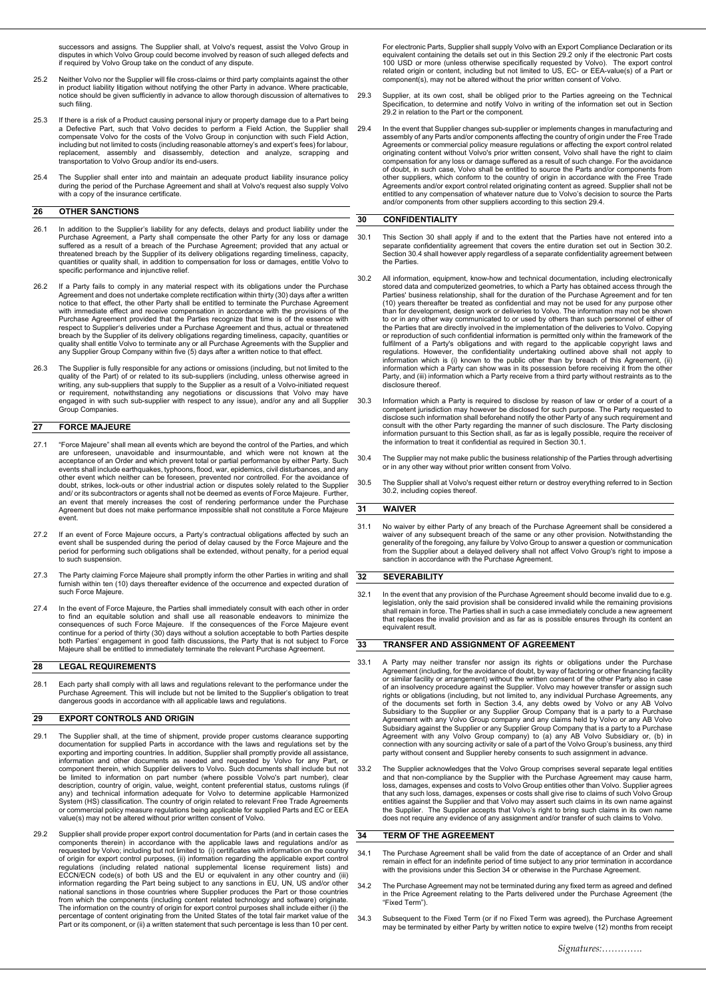successors and assigns. The Supplier shall, at Volvo's request, assist the Volvo Group in disputes in which Volvo Group could become involved by reason of such alleged defects and if required by Volvo Group take on the conduct of any dispute.

- 25.2 Neither Volvo nor the Supplier will file cross-claims or third party complaints against the other in product liability litigation without notifying the other Party in advance. Where practicable, notice should be given sufficiently in advance to allow thorough discussion of alternatives to such filing.
- 25.3 If there is a risk of a Product causing personal injury or property damage due to a Part being a Defective Part, such that Volvo decides to perform a Field Action, the Supplier shall compensate Volvo for the costs of the Volvo Group in conjunction with such Field Action, including but not limited to costs (including reasonable attorney's and expert's fees) for labour,<br>replacement, assembly and disassembly, detection and analyze, scrapping and<br>transportation to Volvo
- 25.4 The Supplier shall enter into and maintain an adequate product liability insurance policy<br>during the period of the Purchase Agreement and shall at Volvo's request also supply Volvo<br>with a copy of the insurance certifi

### **26 OTHER SANCTIONS**

- 26.1 In addition to the Supplier's liability for any defects, delays and product liability under the Purchase Agreement, a Party shall compensate the other Party for any loss or damage suffered as a result of a breach of the Purchase Agreement; provided that any actual or threatened breach by the Supplier of its delivery obligations regarding timeliness, capacity, quantities or quality shall, in addition to compensation for loss or damages, entitle Volvo to specific performance and injunctive relief.
- 26.2 If a Party fails to comply in any material respect with its obligations under the Purchase Agreement and does not undertake complete rectification within thirty (30) days after a written notice to that effect, the other Party shall be entitled to terminate the Purchase Agreement with immediate effect and receive compensation in accordance with the provisions of the Purchase Agreement provided that the Parties recognize that time is of the essence with respect to Supplier's deliveries under a Purchase Agreement and thus, actual or threatened<br>breach by the Supplier of its delivery obligations regarding timeliness, capacity, quantities or<br>quality shall entitle Volvo to ter
- 26.3 The Supplier is fully responsible for any actions or omissions (including, but not limited to the quality of the Part) of or related to its sub-suppliers (including, unless otherwise agreed in writing, any sub-suppliers that supply to the Supplier as a result of a Volvo-initiated request<br>or requirement, notwithstanding any negotiations or discussions that Volvo may have<br>engaged in with such sub-supplier with res Group Companies.

### **27 FORCE MAJEURE**

- 27.1 "Force Majeure" shall mean all events which are beyond the control of the Parties, and which are unforeseen, unavoidable and insurmountable, and which were not known at the acceptance of an Order and which prevent total or partial performance by either Party. Such<br>events shall include earthquakes, typhoons, flood, war, epidemics, civil disturbances, and any<br>other event which neither can be fo and/ or its subcontractors or agents shall not be deemed as events of Force Majeure. Further an event that merely increases the cost of rendering performance under the Purchase Agreement but does not make performance impossible shall not constitute a Force Majeure event.
- 27.2 If an event of Force Majeure occurs, a Party's contractual obligations affected by such an event shall be suspended during the period of delay caused by the Force Majeure and the period for performing such obligations shall be extended, without penalty, for a period equal to such suspension.
- 27.3 The Party claiming Force Majeure shall promptly inform the other Parties in writing and shall furnish within ten (10) days thereafter evidence of the occurrence and expected duration of such Force Majeure
- 27.4 In the event of Force Majeure, the Parties shall immediately consult with each other in order to find an equitable solution and shall use all reasonable endeavors to minimize the consequences of such Force Majeure. If the consequences of the Force Majeure event continue for a period of thirty (30) days without a solution acceptable to both Parties despite both Parties' engagement in good faith discussions, the Party that is not subject to Force Majeure shall be entitled to immediately terminate the relevant Purchase Agreement.

# **28 LEGAL REQUIREMENTS**

28.1 Each party shall comply with all laws and regulations relevant to the performance under the Purchase Agreement. This will include but not be limited to the Supplier's obligation to treat dangerous goods in accordance with all applicable laws and regulations.

## **29 EXPORT CONTROLS AND ORIGIN**

- 29.1 The Supplier shall, at the time of shipment, provide proper customs clearance supporting documentation for supplied Parts in accordance with the laws and regulations set by the exporting and importing countries. In addition, Supplier shall promptly provide all assistance,<br>information and other documents as needed and requested by Volvo for any Part, or<br>component therein, which Suppl be limited to information on part number (where possible Volvo's part number), clear<br>description, country of origin, value, weight, content preferential status, customs rulings (if any) and technical information adequate for Volvo to determine applicable Harmonized System (HS) classification. The country of origin related to relevant Free Trade Agreements or commercial policy measure regulations being applicable for supplied Parts and EC or EEA value(s) may not be altered without prior written consent of Volvo.
- 29.2 Supplier shall provide proper export control documentation for Parts (and in certain cases the components therein) in accordance with the applicable laws and regulations and/or as requested by Volvo; including but not limited to (i) certificates with information on the country of origin for export control purposes, (ii) information regarding the applicable export control regulations (including related national supplemental license requirement lists) and<br>ECCN/ECN code(s) of both US and the EU or equivalent in any other country and (iii)<br>information regarding the Part being subject to any sa percentage of content originating from the United States of the total fair market value of the Part or its component, or (ii) a written statement that such percentage is less than 10 per cent.

For electronic Parts, Supplier shall supply Volvo with an Export Compliance Declaration or its equivalent containing the details set out in this Section 29.2 only if the electronic Part costs 100 USD or more (unless otherwise specifically requested by Volvo). The export control related origin or content, including but not limited to US, EC- or EEA-value(s) of a Part or component(s), may not be altered without the prior written consent of Volvo.

- 29.3 Supplier, at its own cost, shall be obliged prior to the Parties agreeing on the Technical Specification, to determine and notify Volvo in writing of the information set out in Section 29.2 in relation to the Part or the component.
- 29.4 In the event that Supplier changes sub-supplier or implements changes in manufacturing and assembly of any Parts and/or components affecting the country of origin under the Free Trade Agreements or commercial policy measure regulations or affecting the export control related originating content without Volvo's prior written consent, Volvo shall have the right to claim compensation for any loss or damage suffered as a result of such change. For the avoidance of doubt, in such case, Volvo shall be entitled to source the Parts and/or components from other suppliers, which conform to the country of origin in accordance with the Free Trade<br>Agreements and/or export control related originating content as agreed. Supplier shall not be<br>entitled to any compensation of whatev and/or components from other suppliers according to this section 29.4.

### **30 CONFIDENTIALITY**

- 30.1 This Section 30 shall apply if and to the extent that the Parties have not entered into a separate confidentiality agreement that covers the entire duration set out in Section 30.2. Section 30.4 shall however apply regardless of a separate confidentiality agreement between the Parties.
- 30.2 All information, equipment, know-how and technical documentation, including electronically stored data and computerized geometries, to which a Party has obtained access through the Parties' business relationship, shall for the duration of the Purchase Agreement and for ten<br>(10) years thereafter be treated as confidential and may not be used for any purpose other<br>than for development, design work or d the Parties that are directly involved in the implementation of the deliveries to Volvo. Copying<br>or reproduction of such confidential information is permitted only within the framework of the<br>fulfilment of a Party's obliga information which a Party can show was in its possession before receiving it from the other Party, and (iii) information which a Party receive from a third party without restraints as to the disclosure thereof.
- 30.3 Information which a Party is required to disclose by reason of law or order of a court of a competent jurisdiction may however be disclosed for such purpose. The Party requested to disclose such information shall beforehand notify the other Party of any such requirement and<br>consult with the other Party regarding the manner of such disclosure. The Party disclosing<br>information pursuant to this Section the information to treat it confidential as required in Section 30.1.
- 30.4 The Supplier may not make public the business relationship of the Parties through advertising or in any other way without prior written consent from Volvo.
- 30.5 The Supplier shall at Volvo's request either return or destroy everything referred to in Section 30.2, including copies thereof.

#### **31 WAIVER**

31.1 No waiver by either Party of any breach of the Purchase Agreement shall be considered a waiver of any subsequent breach of the same or any other provision. Notwithstanding the generality of the foregoing, any failure by Volvo Group to answer a question or communication from the Supplier about a delayed delivery shall not affect Volvo Group's right to impose a sanction in accordance with the Purchase Agreement.

# **32 SEVERABILITY**

32.1 In the event that any provision of the Purchase Agreement should become invalid due to e.g. legislation, only the said provision shall be considered invalid while the remaining provisions shall remain in force. The Parties shall in such a case immediately conclude a new agreement that replaces the invalid provision and as far as is possible ensures through its content an equivalent result.

### **33 TRANSFER AND ASSIGNMENT OF AGREEMENT**

- 33.1 A Party may neither transfer nor assign its rights or obligations under the Purchase Agreement (including, for the avoidance of doubt, by way of factoring or other financing facility or similar facility or arrangement) without the written consent of the other Party also in case of an insolvency procedure against the Supplier. Volvo may however transfer or assign such rights or obligations (including, but not limited to, any individual Purchase Agreements, any of the documents set forth in Section 3.4, any debts owed by Volvo or any AB Volvo Subsidiary to the Supplier or any Supplier Group Company that is a party to a Purchase Agreement with any Volvo Group company and any claims held by Volvo or any AB Volvo<br>Subsidiary against the Supplier or any Supplier Group Company that is a party to a Purchase<br>Agreement with any Volvo Group company) to connection with any sourcing activity or sale of a part of the Volvo Group's business, any third party without consent and Supplier hereby consents to such assignment in advance.
- 33.2 The Supplier acknowledges that the Volvo Group comprises several separate legal entities and that non-compliance by the Supplier with the Purchase Agreement may cause harm, loss, damages, expenses and costs to Volvo Group entities other than Volvo. Supplier agrees that any such loss, damages, expenses or costs shall give rise to claims of such Volvo Group entities against the Supplier and that Volvo may assert such claims in its own name against the Supplier. The Supplier accepts that Volvo's right to bring such claims in its own name does not require any evidence of any assignment and/or transfer of such claims to Volvo.

# **34 TERM OF THE AGREEMENT**

- 34.1 The Purchase Agreement shall be valid from the date of acceptance of an Order and shall remain in effect for an indefinite period of time subject to any prior termination in accordance<br>remain in effect for an indefinite period of time subject to any prior termination in accordance with the provisions under this Section 34 or otherwise in the Purchase Agreement.
- 34.2 The Purchase Agreement may not be terminated during any fixed term as agreed and defined in the Price Agreement relating to the Parts delivered under the Purchase Agreement (the "Fixed Term").
- 34.3 Subsequent to the Fixed Term (or if no Fixed Term was agreed), the Purchase Agreement may be terminated by either Party by written notice to expire twelve (12) months from receipt